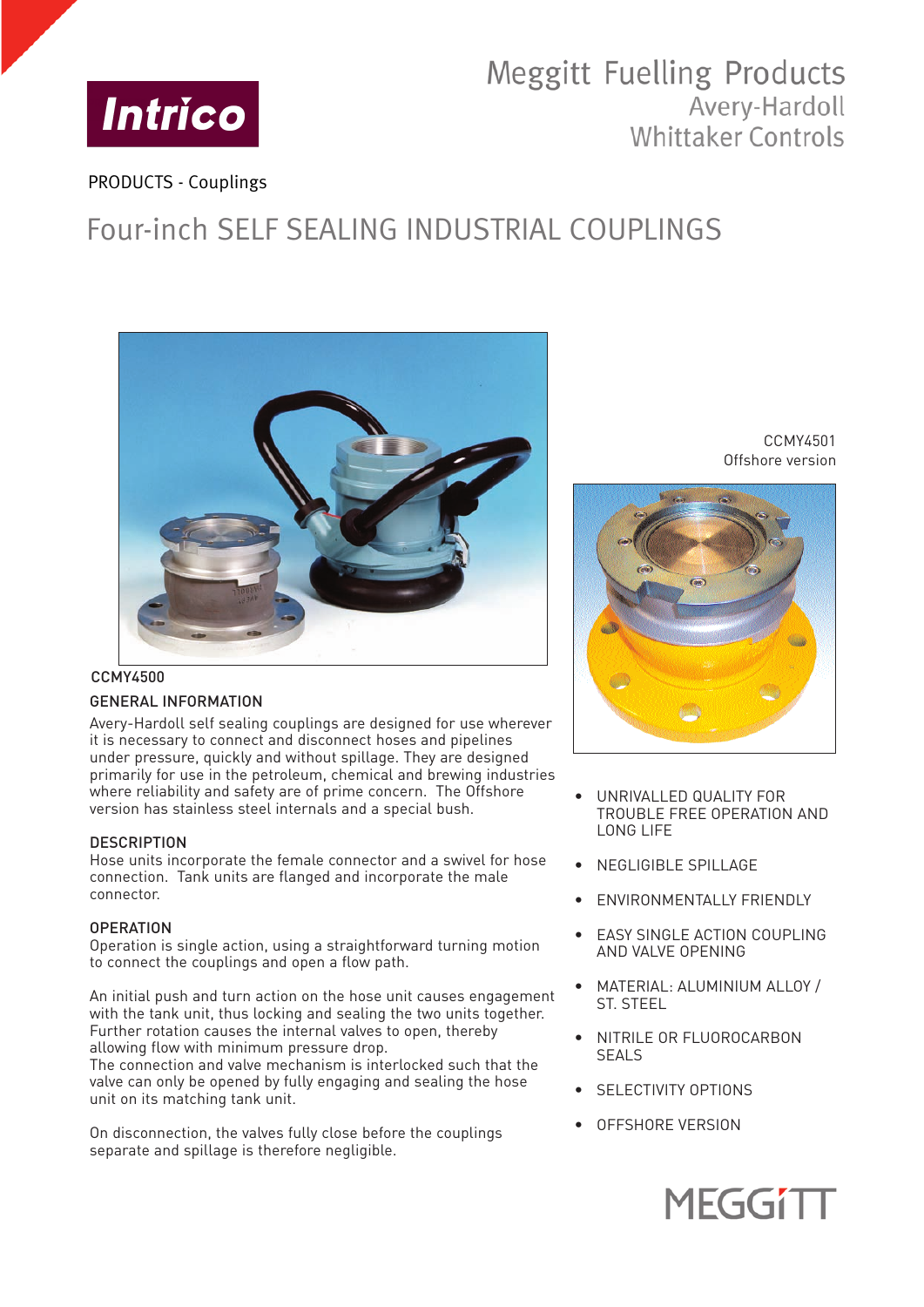

## **Meggitt Fuelling Products** Avery-Hardoll Whittaker Controls

### PRODUCTS - Couplings

# Four-inch SELF SEALING INDUSTRIAL COUPLINGS



#### CCMY4500

#### GENERAL INFORMATION

Avery-Hardoll self sealing couplings are designed for use wherever it is necessary to connect and disconnect hoses and pipelines under pressure, quickly and without spillage. They are designed primarily for use in the petroleum, chemical and brewing industries where reliability and safety are of prime concern. The Offshore version has stainless steel internals and a special bush.

#### **DESCRIPTION**

Hose units incorporate the female connector and a swivel for hose connection. Tank units are flanged and incorporate the male connector.

#### **OPERATION**

Operation is single action, using a straightforward turning motion to connect the couplings and open a flow path.

An initial push and turn action on the hose unit causes engagement with the tank unit, thus locking and sealing the two units together. Further rotation causes the internal valves to open, thereby allowing flow with minimum pressure drop.

The connection and valve mechanism is interlocked such that the valve can only be opened by fully engaging and sealing the hose unit on its matching tank unit.

On disconnection, the valves fully close before the couplings separate and spillage is therefore negligible.

CCMY4501 Offshore version



- UNRIVALLED QUALITY FOR TROUBLE FREE OPERATION AND LONG LIFE
- NEGLIGIBLE SPILLAGE
- ENVIRONMENTALLY FRIENDLY
- **EASY SINGLE ACTION COUPLING** AND VALVE OPENING
- MATERIAL: ALUMINIUM ALLOY / ST. STEEL
- NITRILE OR FLUOROCARBON SEALS
- **SELECTIVITY OPTIONS**
- OFFSHORE VERSION